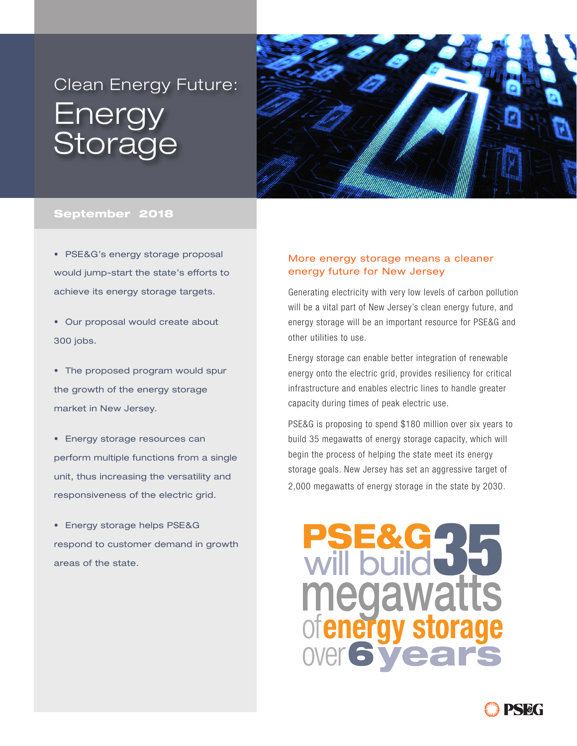# Clean Energy Future: Energy **Storage**



#### September 2018

• PSE&G's energy storage proposal would jump-start the state's efforts to achieve its energy storage targets.

• Our proposal would create about 300 jobs.

• The proposed program would spur the growth of the energy storage market in New Jersey.

• Energy storage resources can perform multiple functions from a single unit, thus increasing the versatility and responsiveness of the electric grid.

• Energy storage helps PSE&G respond to customer demand in growth areas of the state.

### More energy storage means a cleaner energy future for New Jersey

Generating electricity with very low levels of carbon pollution will be a vital part of New Jersey's clean energy future, and energy storage will be an important resource for PSE&G and other utilities to use.

Energy storage can enable better integration of renewable energy onto the electric grid, provides resiliency for critical infrastructure and enables electric lines to handle greater capacity during times of peak electric use.

PSE&G is proposing to spend \$180 million over six years to build 35 megawatts of energy storage capacity, which will begin the process of helping the state meet its energy storage goals. New Jersey has set an aggressive target of 2,000 megawatts of energy storage in the state by 2030.